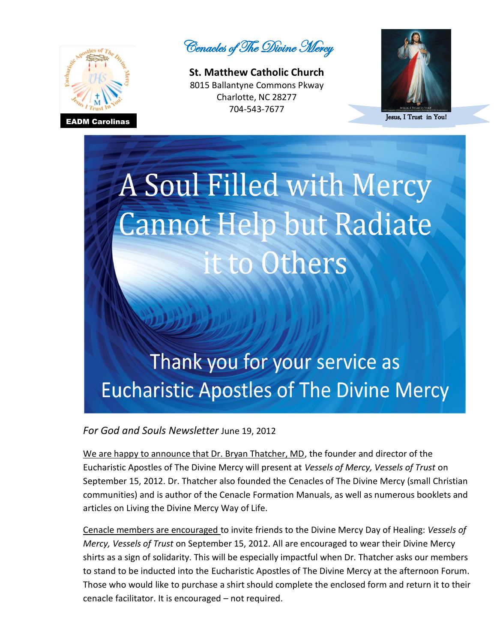

Cenacles of The Divine Mercy

**St. Matthew Catholic Church**  8015 Ballantyne Commons Pkway Charlotte, NC 28277 704-543-7677



Jesus, I Trust in You!

## A Soul Filled with Mercy **Cannot Help but Radiate** it to Others

## Thank you for your service as **Eucharistic Apostles of The Divine Mercy**

*For God and Souls Newsletter* June 19, 2012

We are happy to announce that Dr. Bryan Thatcher, MD, the founder and director of the Eucharistic Apostles of The Divine Mercy will present at *Vessels of Mercy, Vessels of Trust* on September 15, 2012. Dr. Thatcher also founded the Cenacles of The Divine Mercy (small Christian communities) and is author of the Cenacle Formation Manuals, as well as numerous booklets and articles on Living the Divine Mercy Way of Life.

Cenacle members are encouraged to invite friends to the Divine Mercy Day of Healing: *Vessels of Mercy, Vessels of Trust* on September 15, 2012. All are encouraged to wear their Divine Mercy shirts as a sign of solidarity. This will be especially impactful when Dr. Thatcher asks our members to stand to be inducted into the Eucharistic Apostles of The Divine Mercy at the afternoon Forum. Those who would like to purchase a shirt should complete the enclosed form and return it to their cenacle facilitator. It is encouraged – not required.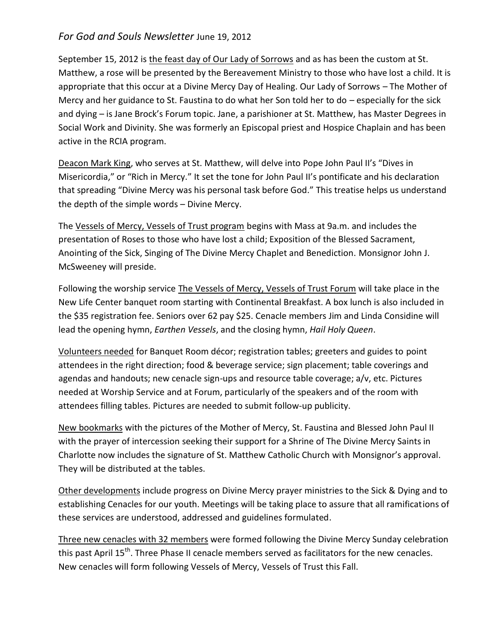## *For God and Souls Newsletter* June 19, 2012

September 15, 2012 is the feast day of Our Lady of Sorrows and as has been the custom at St. Matthew, a rose will be presented by the Bereavement Ministry to those who have lost a child. It is appropriate that this occur at a Divine Mercy Day of Healing. Our Lady of Sorrows – The Mother of Mercy and her guidance to St. Faustina to do what her Son told her to do – especially for the sick and dying – is Jane Brock's Forum topic. Jane, a parishioner at St. Matthew, has Master Degrees in Social Work and Divinity. She was formerly an Episcopal priest and Hospice Chaplain and has been active in the RCIA program.

Deacon Mark King, who serves at St. Matthew, will delve into Pope John Paul II's "Dives in Misericordia," or "Rich in Mercy." It set the tone for John Paul II's pontificate and his declaration that spreading "Divine Mercy was his personal task before God." This treatise helps us understand the depth of the simple words – Divine Mercy.

The Vessels of Mercy, Vessels of Trust program begins with Mass at 9a.m. and includes the presentation of Roses to those who have lost a child; Exposition of the Blessed Sacrament, Anointing of the Sick, Singing of The Divine Mercy Chaplet and Benediction. Monsignor John J. McSweeney will preside.

Following the worship service The Vessels of Mercy, Vessels of Trust Forum will take place in the New Life Center banquet room starting with Continental Breakfast. A box lunch is also included in the \$35 registration fee. Seniors over 62 pay \$25. Cenacle members Jim and Linda Considine will lead the opening hymn, *Earthen Vessels*, and the closing hymn, *Hail Holy Queen*.

Volunteers needed for Banquet Room décor; registration tables; greeters and guides to point attendees in the right direction; food & beverage service; sign placement; table coverings and agendas and handouts; new cenacle sign-ups and resource table coverage; a/v, etc. Pictures needed at Worship Service and at Forum, particularly of the speakers and of the room with attendees filling tables. Pictures are needed to submit follow-up publicity.

New bookmarks with the pictures of the Mother of Mercy, St. Faustina and Blessed John Paul II with the prayer of intercession seeking their support for a Shrine of The Divine Mercy Saints in Charlotte now includes the signature of St. Matthew Catholic Church with Monsignor's approval. They will be distributed at the tables.

Other developments include progress on Divine Mercy prayer ministries to the Sick & Dying and to establishing Cenacles for our youth. Meetings will be taking place to assure that all ramifications of these services are understood, addressed and guidelines formulated.

Three new cenacles with 32 members were formed following the Divine Mercy Sunday celebration this past April 15<sup>th</sup>. Three Phase II cenacle members served as facilitators for the new cenacles. New cenacles will form following Vessels of Mercy, Vessels of Trust this Fall.